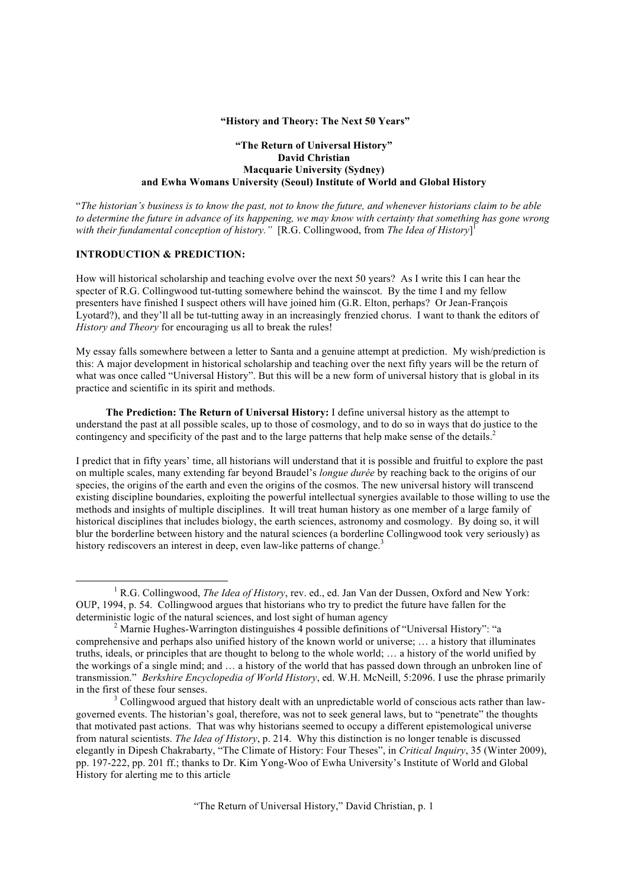#### **"History and Theory: The Next 50 Years"**

### **"The Return of Universal History" David Christian Macquarie University (Sydney) and Ewha Womans University (Seoul) Institute of World and Global History**

"*The historian's business is to know the past, not to know the future, and whenever historians claim to be able to determine the future in advance of its happening, we may know with certainty that something has gone wrong*  with their fundamental conception of history." [R.G. Collingwood, from *The Idea of History*]<sup>1</sup>

### **INTRODUCTION & PREDICTION:**

How will historical scholarship and teaching evolve over the next 50 years? As I write this I can hear the specter of R.G. Collingwood tut-tutting somewhere behind the wainscot. By the time I and my fellow presenters have finished I suspect others will have joined him (G.R. Elton, perhaps? Or Jean-François Lyotard?), and they'll all be tut-tutting away in an increasingly frenzied chorus. I want to thank the editors of *History and Theory* for encouraging us all to break the rules!

My essay falls somewhere between a letter to Santa and a genuine attempt at prediction. My wish/prediction is this: A major development in historical scholarship and teaching over the next fifty years will be the return of what was once called "Universal History". But this will be a new form of universal history that is global in its practice and scientific in its spirit and methods.

**The Prediction: The Return of Universal History:** I define universal history as the attempt to understand the past at all possible scales, up to those of cosmology, and to do so in ways that do justice to the contingency and specificity of the past and to the large patterns that help make sense of the details.<sup>2</sup>

I predict that in fifty years' time, all historians will understand that it is possible and fruitful to explore the past on multiple scales, many extending far beyond Braudel's *longue durée* by reaching back to the origins of our species, the origins of the earth and even the origins of the cosmos. The new universal history will transcend existing discipline boundaries, exploiting the powerful intellectual synergies available to those willing to use the methods and insights of multiple disciplines. It will treat human history as one member of a large family of historical disciplines that includes biology, the earth sciences, astronomy and cosmology. By doing so, it will blur the borderline between history and the natural sciences (a borderline Collingwood took very seriously) as history rediscovers an interest in deep, even law-like patterns of change.<sup>3</sup>

<sup>&</sup>lt;u>1</u> <sup>1</sup> R.G. Collingwood, *The Idea of History*, rev. ed., ed. Jan Van der Dussen, Oxford and New York: OUP, 1994, p. 54. Collingwood argues that historians who try to predict the future have fallen for the deterministic logic of the natural sciences, and lost sight of human agency

 $^2$  Marnie Hughes-Warrington distinguishes 4 possible definitions of "Universal History": "a comprehensive and perhaps also unified history of the known world or universe; … a history that illuminates truths, ideals, or principles that are thought to belong to the whole world; … a history of the world unified by the workings of a single mind; and … a history of the world that has passed down through an unbroken line of transmission." *Berkshire Encyclopedia of World History*, ed. W.H. McNeill, 5:2096. I use the phrase primarily in the first of these four senses.

 $\beta$  Collingwood argued that history dealt with an unpredictable world of conscious acts rather than lawgoverned events. The historian's goal, therefore, was not to seek general laws, but to "penetrate" the thoughts that motivated past actions. That was why historians seemed to occupy a different epistemological universe from natural scientists. *The Idea of History*, p. 214. Why this distinction is no longer tenable is discussed elegantly in Dipesh Chakrabarty, "The Climate of History: Four Theses", in *Critical Inquiry*, 35 (Winter 2009), pp. 197-222, pp. 201 ff.; thanks to Dr. Kim Yong-Woo of Ewha University's Institute of World and Global History for alerting me to this article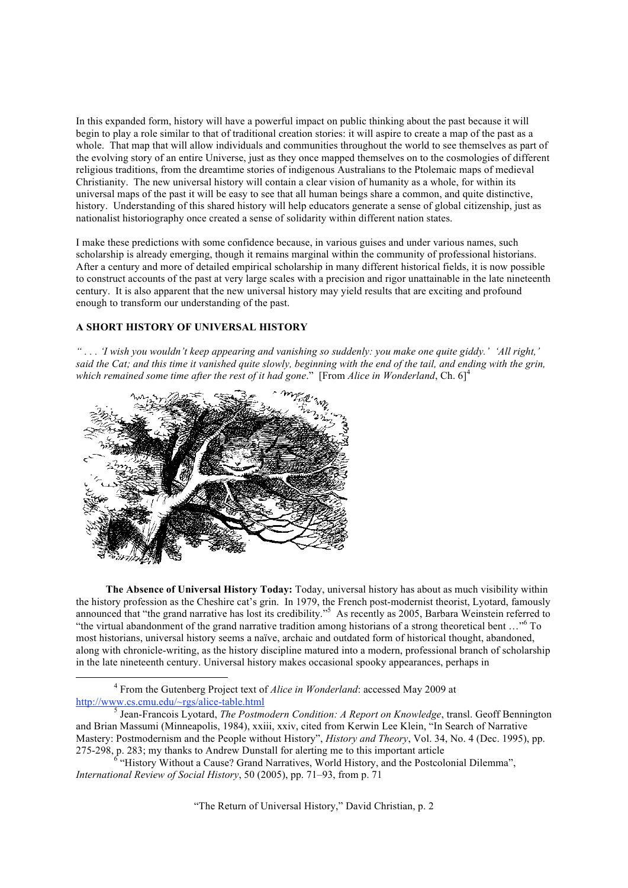In this expanded form, history will have a powerful impact on public thinking about the past because it will begin to play a role similar to that of traditional creation stories: it will aspire to create a map of the past as a whole. That map that will allow individuals and communities throughout the world to see themselves as part of the evolving story of an entire Universe, just as they once mapped themselves on to the cosmologies of different religious traditions, from the dreamtime stories of indigenous Australians to the Ptolemaic maps of medieval Christianity. The new universal history will contain a clear vision of humanity as a whole, for within its universal maps of the past it will be easy to see that all human beings share a common, and quite distinctive, history. Understanding of this shared history will help educators generate a sense of global citizenship, just as nationalist historiography once created a sense of solidarity within different nation states.

I make these predictions with some confidence because, in various guises and under various names, such scholarship is already emerging, though it remains marginal within the community of professional historians. After a century and more of detailed empirical scholarship in many different historical fields, it is now possible to construct accounts of the past at very large scales with a precision and rigor unattainable in the late nineteenth century. It is also apparent that the new universal history may yield results that are exciting and profound enough to transform our understanding of the past.

## **A SHORT HISTORY OF UNIVERSAL HISTORY**

*" . . . 'I wish you wouldn't keep appearing and vanishing so suddenly: you make one quite giddy.' 'All right,' said the Cat; and this time it vanished quite slowly, beginning with the end of the tail, and ending with the grin,*  which remained some time after the rest of it had gone." [From *Alice in Wonderland*, Ch. 6]<sup>4</sup>



**The Absence of Universal History Today:** Today, universal history has about as much visibility within the history profession as the Cheshire cat's grin. In 1979, the French post-modernist theorist, Lyotard, famously announced that "the grand narrative has lost its credibility."<sup>5</sup> As recently as 2005, Barbara Weinstein referred to "the virtual abandonment of the grand narrative tradition among historians of a strong theoretical bent …"<sup>6</sup> To most historians, universal history seems a naïve, archaic and outdated form of historical thought, abandoned, along with chronicle-writing, as the history discipline matured into a modern, professional branch of scholarship in the late nineteenth century. Universal history makes occasional spooky appearances, perhaps in

 $\overline{4}$  From the Gutenberg Project text of *Alice in Wonderland*: accessed May 2009 at http://www.cs.cmu.edu/~rgs/alice-table.html <sup>5</sup>

<sup>&</sup>lt;sup>5</sup> Jean-Francois Lyotard, *The Postmodern Condition: A Report on Knowledge*, transl. Geoff Bennington and Brian Massumi (Minneapolis, 1984), xxiii, xxiv, cited from Kerwin Lee Klein, "In Search of Narrative Mastery: Postmodernism and the People without History", *History and Theory*, Vol. 34, No. 4 (Dec. 1995), pp. 275-298, p. 283; my thanks to Andrew Dunstall for alerting me to this important article <sup>6</sup>

 $6$  "History Without a Cause? Grand Narratives, World History, and the Postcolonial Dilemma", *International Review of Social History*, 50 (2005), pp. 71–93, from p. 71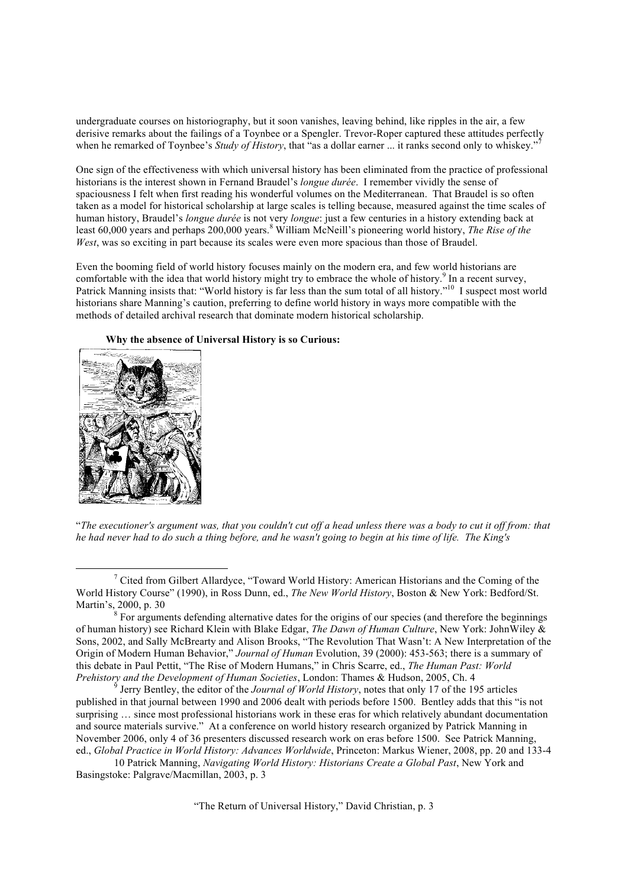undergraduate courses on historiography, but it soon vanishes, leaving behind, like ripples in the air, a few derisive remarks about the failings of a Toynbee or a Spengler. Trevor-Roper captured these attitudes perfectly when he remarked of Toynbee's *Study of History*, that "as a dollar earner ... it ranks second only to whiskey."

One sign of the effectiveness with which universal history has been eliminated from the practice of professional historians is the interest shown in Fernand Braudel's *longue durée*. I remember vividly the sense of spaciousness I felt when first reading his wonderful volumes on the Mediterranean. That Braudel is so often taken as a model for historical scholarship at large scales is telling because, measured against the time scales of human history, Braudel's *longue durée* is not very *longue*: just a few centuries in a history extending back at least 60,000 years and perhaps 200,000 years.<sup>8</sup> William McNeill's pioneering world history, *The Rise of the West*, was so exciting in part because its scales were even more spacious than those of Braudel.

Even the booming field of world history focuses mainly on the modern era, and few world historians are comfortable with the idea that world history might try to embrace the whole of history.<sup>9</sup> In a recent survey, Patrick Manning insists that: "World history is far less than the sum total of all history."<sup>10</sup> I suspect most world historians share Manning's caution, preferring to define world history in ways more compatible with the methods of detailed archival research that dominate modern historical scholarship.



### **Why the absence of Universal History is so Curious:**

"*The executioner's argument was, that you couldn't cut off a head unless there was a body to cut it off from: that he had never had to do such a thing before, and he wasn't going to begin at his time of life. The King's* 

 Jerry Bentley, the editor of the *Journal of World History*, notes that only 17 of the 195 articles published in that journal between 1990 and 2006 dealt with periods before 1500. Bentley adds that this "is not surprising … since most professional historians work in these eras for which relatively abundant documentation and source materials survive." At a conference on world history research organized by Patrick Manning in November 2006, only 4 of 36 presenters discussed research work on eras before 1500. See Patrick Manning, ed., *Global Practice in World History: Advances Worldwide*, Princeton: Markus Wiener, 2008, pp. 20 and 133-4

10 Patrick Manning, *Navigating World History: Historians Create a Global Past*, New York and Basingstoke: Palgrave/Macmillan, 2003, p. 3

 $\overline{\phantom{a}}$ <sup>7</sup> Cited from Gilbert Allardyce, "Toward World History: American Historians and the Coming of the World History Course" (1990), in Ross Dunn, ed., *The New World History*, Boston & New York: Bedford/St. Martin's, 2000, p. 30

 $\frac{1}{8}$  For arguments defending alternative dates for the origins of our species (and therefore the beginnings of human history) see Richard Klein with Blake Edgar, *The Dawn of Human Culture*, New York: JohnWiley & Sons, 2002, and Sally McBrearty and Alison Brooks, "The Revolution That Wasn't: A New Interpretation of the Origin of Modern Human Behavior," *Journal of Human* Evolution, 39 (2000): 453-563; there is a summary of this debate in Paul Pettit, "The Rise of Modern Humans," in Chris Scarre, ed., *The Human Past: World Prehistory and the Development of Human Societies*, London: Thames & Hudson, 2005, Ch. 4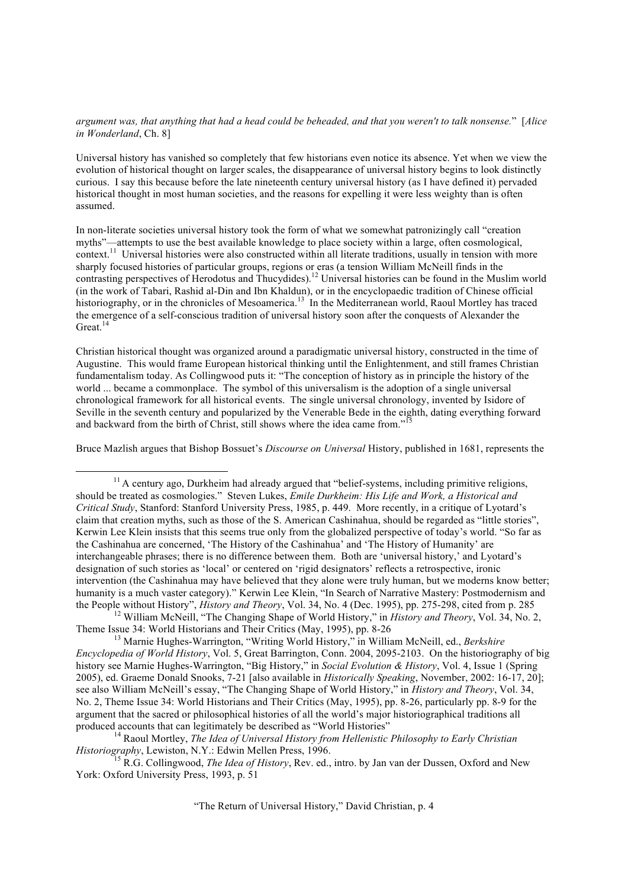## *argument was, that anything that had a head could be beheaded, and that you weren't to talk nonsense.*" [*Alice in Wonderland*, Ch. 8]

Universal history has vanished so completely that few historians even notice its absence. Yet when we view the evolution of historical thought on larger scales, the disappearance of universal history begins to look distinctly curious. I say this because before the late nineteenth century universal history (as I have defined it) pervaded historical thought in most human societies, and the reasons for expelling it were less weighty than is often assumed.

In non-literate societies universal history took the form of what we somewhat patronizingly call "creation myths"—attempts to use the best available knowledge to place society within a large, often cosmological, context.<sup>11</sup> Universal histories were also constructed within all literate traditions, usually in tension with more sharply focused histories of particular groups, regions or eras (a tension William McNeill finds in the contrasting perspectives of Herodotus and Thucydides).<sup>12</sup> Universal histories can be found in the Muslim world (in the work of Tabari, Rashid al-Din and Ibn Khaldun), or in the encyclopaedic tradition of Chinese official historiography, or in the chronicles of Mesoamerica.<sup>13 In</sup> the Mediterranean world, Raoul Mortley has traced the emergence of a self-conscious tradition of universal history soon after the conquests of Alexander the Great. $14$ 

Christian historical thought was organized around a paradigmatic universal history, constructed in the time of Augustine. This would frame European historical thinking until the Enlightenment, and still frames Christian fundamentalism today. As Collingwood puts it: "The conception of history as in principle the history of the world ... became a commonplace. The symbol of this universalism is the adoption of a single universal chronological framework for all historical events. The single universal chronology, invented by Isidore of Seville in the seventh century and popularized by the Venerable Bede in the eighth, dating everything forward and backward from the birth of Christ, still shows where the idea came from."

Bruce Mazlish argues that Bishop Bossuet's *Discourse on Universal* History, published in 1681, represents the

 $<sup>11</sup>$  A century ago, Durkheim had already argued that "belief-systems, including primitive religions,</sup> should be treated as cosmologies." Steven Lukes, *Emile Durkheim: His Life and Work, a Historical and Critical Study*, Stanford: Stanford University Press, 1985, p. 449. More recently, in a critique of Lyotard's claim that creation myths, such as those of the S. American Cashinahua, should be regarded as "little stories", Kerwin Lee Klein insists that this seems true only from the globalized perspective of today's world. "So far as the Cashinahua are concerned, 'The History of the Cashinahua' and 'The History of Humanity' are interchangeable phrases; there is no difference between them. Both are 'universal history,' and Lyotard's designation of such stories as 'local' or centered on 'rigid designators' reflects a retrospective, ironic intervention (the Cashinahua may have believed that they alone were truly human, but we moderns know better; humanity is a much vaster category)." Kerwin Lee Klein, "In Search of Narrative Mastery: Postmodernism and

the People without History", *History and Theory*, Vol. 34, No. 4 (Dec. 1995), pp. 275-298, cited from p. 285<br><sup>12</sup> William McNeill, "The Changing Shape of World History," in *History and Theory*, Vol. 34, No. 2,<br>Theme Issu

<sup>&</sup>lt;sup>13</sup> Marnie Hughes-Warrington, "Writing World History," in William McNeill, ed., *Berkshire Encyclopedia of World History*, Vol. 5, Great Barrington, Conn. 2004, 2095-2103. On the historiography of big history see Marnie Hughes-Warrington, "Big History," in *Social Evolution & History*, Vol. 4, Issue 1 (Spring 2005), ed. Graeme Donald Snooks, 7-21 [also available in *Historically Speaking*, November, 2002: 16-17, 20]; see also William McNeill's essay, "The Changing Shape of World History," in *History and Theory*, Vol. 34, No. 2, Theme Issue 34: World Historians and Their Critics (May, 1995), pp. 8-26, particularly pp. 8-9 for the argument that the sacred or philosophical histories of all the world's major historiographical traditions all

produced accounts that can legitimately be described as "World Histories" <sup>14</sup> Raoul Mortley, *The Idea of Universal History from Hellenistic Philosophy to Early Christian Historiography*, Lewiston, N.Y.: Edwin Mellen Pres

<sup>&</sup>lt;sup>15</sup> R.G. Collingwood, *The Idea of History*, Rev. ed., intro. by Jan van der Dussen, Oxford and New York: Oxford University Press, 1993, p. 51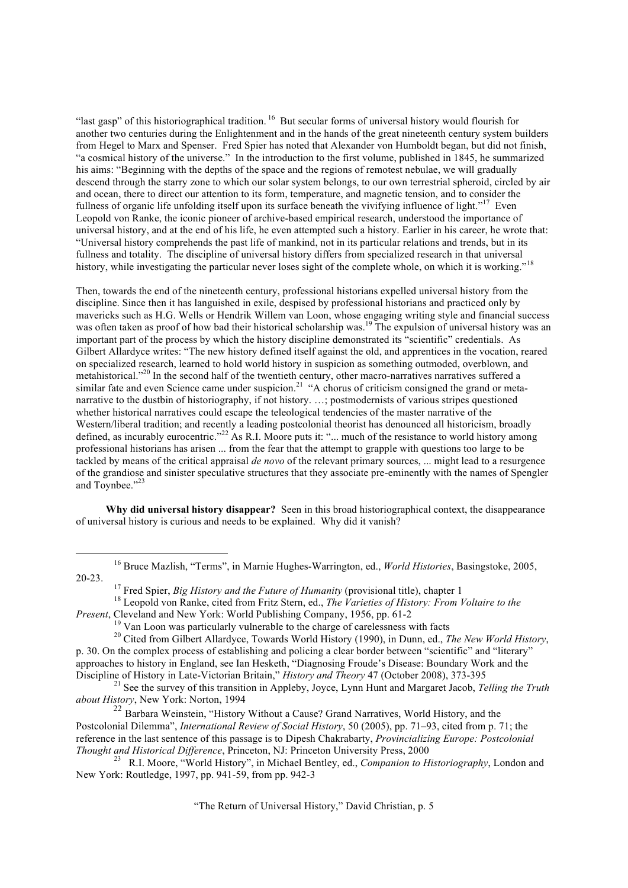"last gasp" of this historiographical tradition.<sup>16</sup> But secular forms of universal history would flourish for another two centuries during the Enlightenment and in the hands of the great nineteenth century system builders from Hegel to Marx and Spenser. Fred Spier has noted that Alexander von Humboldt began, but did not finish, "a cosmical history of the universe." In the introduction to the first volume, published in 1845, he summarized his aims: "Beginning with the depths of the space and the regions of remotest nebulae, we will gradually descend through the starry zone to which our solar system belongs, to our own terrestrial spheroid, circled by air and ocean, there to direct our attention to its form, temperature, and magnetic tension, and to consider the fullness of organic life unfolding itself upon its surface beneath the vivifying influence of light."<sup>17</sup> Even Leopold von Ranke, the iconic pioneer of archive-based empirical research, understood the importance of universal history, and at the end of his life, he even attempted such a history. Earlier in his career, he wrote that: "Universal history comprehends the past life of mankind, not in its particular relations and trends, but in its fullness and totality. The discipline of universal history differs from specialized research in that universal history, while investigating the particular never loses sight of the complete whole, on which it is working."<sup>18</sup>

Then, towards the end of the nineteenth century, professional historians expelled universal history from the discipline. Since then it has languished in exile, despised by professional historians and practiced only by mavericks such as H.G. Wells or Hendrik Willem van Loon, whose engaging writing style and financial success was often taken as proof of how bad their historical scholarship was.<sup>19</sup> The expulsion of universal history was an important part of the process by which the history discipline demonstrated its "scientific" credentials. As Gilbert Allardyce writes: "The new history defined itself against the old, and apprentices in the vocation, reared on specialized research, learned to hold world history in suspicion as something outmoded, overblown, and metahistorical."<sup>20</sup> In the second half of the twentieth century, other macro-narratives narratives suffered a similar fate and even Science came under suspicion.<sup>21</sup> "A chorus of criticism consigned the grand or metanarrative to the dustbin of historiography, if not history. …; postmodernists of various stripes questioned whether historical narratives could escape the teleological tendencies of the master narrative of the Western/liberal tradition; and recently a leading postcolonial theorist has denounced all historicism, broadly defined, as incurably eurocentric."<sup>22</sup> As R.I. Moore puts it: "... much of the resistance to world history among professional historians has arisen ... from the fear that the attempt to grapple with questions too large to be tackled by means of the critical appraisal *de novo* of the relevant primary sources, ... might lead to a resurgence of the grandiose and sinister speculative structures that they associate pre-eminently with the names of Spengler and Toynbee."<sup>23</sup>

**Why did universal history disappear?** Seen in this broad historiographical context, the disappearance of universal history is curious and needs to be explained. Why did it vanish?

16 Bruce Mazlish, "Terms", in Marnie Hughes-Warrington, ed., *World Histories*, Basingstoke, 2005,

<sup>17</sup> Fred Spier, *Big History and the Future of Humanity* (provisional title), chapter 1<br><sup>18</sup> Leopold von Ranke, cited from Fritz Stern, ed., *The Varieties of History: From Voltaire to the*<br>*Present*, Cleveland and New Yo

<sup>19</sup> Van Loon was particularly vulnerable to the charge of carelessness with facts

20 Cited from Gilbert Allardyce, Towards World History (1990), in Dunn, ed., *The New World History*, p. 30. On the complex process of establishing and policing a clear border between "scientific" and "literary" approaches to history in England, see Ian Hesketh, "Diagnosing Froude's Disease: Boundary Work and the Discipline of History in Late-Victorian Britain," History and Theory 47 (October 2008), 373-395

<sup>21</sup> See the survey of this transition in Appleby, Joyce, Lynn Hunt and Margaret Jacob, *Telling the Truth about History*, New York: Norton, 1994

 $^{22}$  Barbara Weinstein, "History Without a Cause? Grand Narratives, World History, and the Postcolonial Dilemma", *International Review of Social History*, 50 (2005), pp. 71–93, cited from p. 71; the reference in the last sentence of this passage is to Dipesh Chakrabarty, *Provincializing Europe: Postcolonial Thought and Historical Difference*, Princeton, NJ: Princeton University Press, 2000<br><sup>23</sup> R.I. Moore, "World History", in Michael Bentley, ed., *Companion to Historiography*, London and

New York: Routledge, 1997, pp. 941-59, from pp. 942-3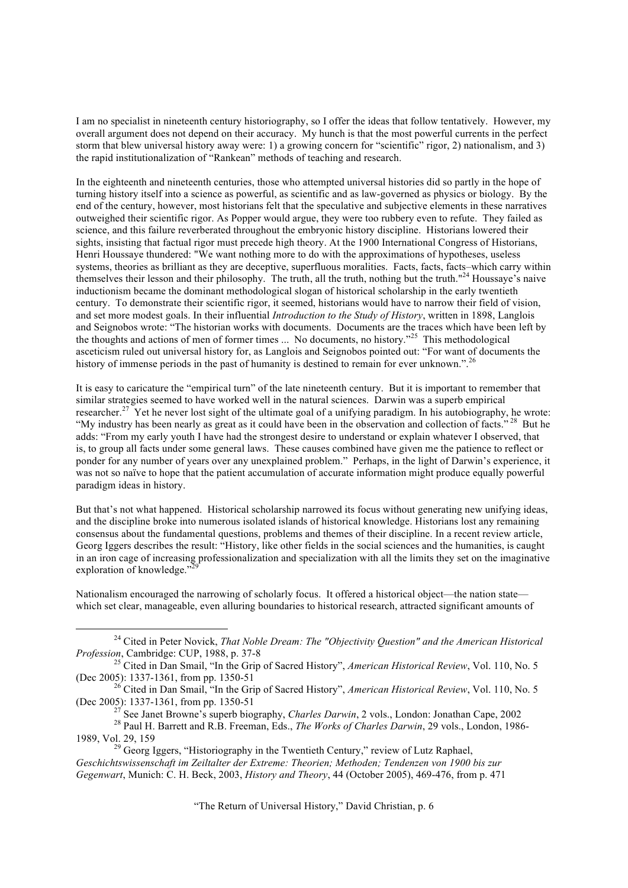I am no specialist in nineteenth century historiography, so I offer the ideas that follow tentatively. However, my overall argument does not depend on their accuracy. My hunch is that the most powerful currents in the perfect storm that blew universal history away were: 1) a growing concern for "scientific" rigor, 2) nationalism, and 3) the rapid institutionalization of "Rankean" methods of teaching and research.

In the eighteenth and nineteenth centuries, those who attempted universal histories did so partly in the hope of turning history itself into a science as powerful, as scientific and as law-governed as physics or biology. By the end of the century, however, most historians felt that the speculative and subjective elements in these narratives outweighed their scientific rigor. As Popper would argue, they were too rubbery even to refute. They failed as science, and this failure reverberated throughout the embryonic history discipline. Historians lowered their sights, insisting that factual rigor must precede high theory. At the 1900 International Congress of Historians, Henri Houssaye thundered: "We want nothing more to do with the approximations of hypotheses, useless systems, theories as brilliant as they are deceptive, superfluous moralities. Facts, facts, facts–which carry within themselves their lesson and their philosophy. The truth, all the truth, nothing but the truth."<sup>24</sup> Houssaye's naive inductionism became the dominant methodological slogan of historical scholarship in the early twentieth century. To demonstrate their scientific rigor, it seemed, historians would have to narrow their field of vision, and set more modest goals. In their influential *Introduction to the Study of History*, written in 1898, Langlois and Seignobos wrote: "The historian works with documents. Documents are the traces which have been left by the thoughts and actions of men of former times ... No documents, no history."<sup>25</sup> This methodological asceticism ruled out universal history for, as Langlois and Seignobos pointed out: "For want of documents the history of immense periods in the past of humanity is destined to remain for ever unknown."<sup>26</sup>

It is easy to caricature the "empirical turn" of the late nineteenth century. But it is important to remember that similar strategies seemed to have worked well in the natural sciences. Darwin was a superb empirical researcher.<sup>27</sup> Yet he never lost sight of the ultimate goal of a unifying paradigm. In his autobiography, he wrote: "My industry has been nearly as great as it could have been in the observation and collection of facts." <sup>28</sup> But he adds: "From my early youth I have had the strongest desire to understand or explain whatever I observed, that is, to group all facts under some general laws. These causes combined have given me the patience to reflect or ponder for any number of years over any unexplained problem." Perhaps, in the light of Darwin's experience, it was not so naïve to hope that the patient accumulation of accurate information might produce equally powerful paradigm ideas in history.

But that's not what happened. Historical scholarship narrowed its focus without generating new unifying ideas, and the discipline broke into numerous isolated islands of historical knowledge. Historians lost any remaining consensus about the fundamental questions, problems and themes of their discipline. In a recent review article, Georg Iggers describes the result: "History, like other fields in the social sciences and the humanities, is caught in an iron cage of increasing professionalization and specialization with all the limits they set on the imaginative exploration of knowledge."

Nationalism encouraged the narrowing of scholarly focus. It offered a historical object—the nation state which set clear, manageable, even alluring boundaries to historical research, attracted significant amounts of

*Geschichtswissenschaft im Zeiltalter der Extreme: Theorien; Methoden; Tendenzen von 1900 bis zur Gegenwart*, Munich: C. H. Beck, 2003, *History and Theory*, 44 (October 2005), 469-476, from p. 471

<sup>&</sup>lt;sup>24</sup> Cited in Peter Novick, *That Noble Dream: The "Objectivity Question" and the American Historical Profession, Cambridge: CUP, 1988, p. 37-8* 

<sup>&</sup>lt;sup>25</sup> Cited in Dan Smail, "In the Grip of Sacred History", *American Historical Review*, Vol. 110, No. 5 (Dec 2005): 1337-1361, from pp. 1350-51<br><sup>26</sup> Cited in Dan Smail, "In the Grip of Sacred History", *American Historical Review*, Vol. 110, No. 5

<sup>(</sup>Dec 2005): 1337-1361, from pp. 1350-51<br><sup>27</sup> See Janet Browne's superb biography, *Charles Darwin*, 2 vols., London: Jonathan Cape, 2002<br><sup>28</sup> Paul H. Barrett and R.B. Freeman, Eds., *The Works of Charles Darwin*, 29 vols.,

<sup>1989,</sup> Vol. 29, 159<br><sup>29</sup> Georg Iggers, "Historiography in the Twentieth Century," review of Lutz Raphael,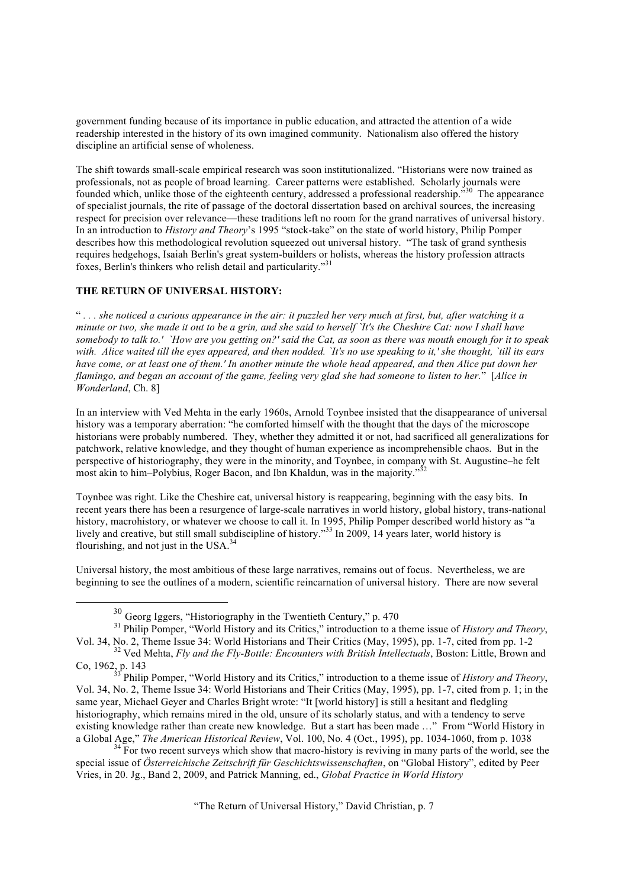government funding because of its importance in public education, and attracted the attention of a wide readership interested in the history of its own imagined community. Nationalism also offered the history discipline an artificial sense of wholeness.

The shift towards small-scale empirical research was soon institutionalized. "Historians were now trained as professionals, not as people of broad learning. Career patterns were established. Scholarly journals were founded which, unlike those of the eighteenth century, addressed a professional readership.<sup>530</sup> The appearance of specialist journals, the rite of passage of the doctoral dissertation based on archival sources, the increasing respect for precision over relevance—these traditions left no room for the grand narratives of universal history. In an introduction to *History and Theory*'s 1995 "stock-take" on the state of world history, Philip Pomper describes how this methodological revolution squeezed out universal history. "The task of grand synthesis requires hedgehogs, Isaiah Berlin's great system-builders or holists, whereas the history profession attracts foxes, Berlin's thinkers who relish detail and particularity."<sup>31</sup>

## **THE RETURN OF UNIVERSAL HISTORY:**

" *. . . she noticed a curious appearance in the air: it puzzled her very much at first, but, after watching it a minute or two, she made it out to be a grin, and she said to herself `It's the Cheshire Cat: now I shall have somebody to talk to.' `How are you getting on?' said the Cat, as soon as there was mouth enough for it to speak with. Alice waited till the eyes appeared, and then nodded. `It's no use speaking to it,' she thought, `till its ears have come, or at least one of them.' In another minute the whole head appeared, and then Alice put down her flamingo, and began an account of the game, feeling very glad she had someone to listen to her.*" [*Alice in Wonderland*, Ch. 8]

In an interview with Ved Mehta in the early 1960s, Arnold Toynbee insisted that the disappearance of universal history was a temporary aberration: "he comforted himself with the thought that the days of the microscope historians were probably numbered. They, whether they admitted it or not, had sacrificed all generalizations for patchwork, relative knowledge, and they thought of human experience as incomprehensible chaos. But in the perspective of historiography, they were in the minority, and Toynbee, in company with St. Augustine–he felt most akin to him–Polybius, Roger Bacon, and Ibn Khaldun, was in the majority."32

Toynbee was right. Like the Cheshire cat, universal history is reappearing, beginning with the easy bits. In recent years there has been a resurgence of large-scale narratives in world history, global history, trans-national history, macrohistory, or whatever we choose to call it. In 1995, Philip Pomper described world history as "a lively and creative, but still small subdiscipline of history.<sup>333</sup> In 2009, 14 years later, world history is flourishing, and not just in the USA. $<sup>3</sup>$ </sup>

Universal history, the most ambitious of these large narratives, remains out of focus. Nevertheless, we are beginning to see the outlines of a modern, scientific reincarnation of universal history. There are now several

<sup>31</sup> Philip Pomper, "World History and its Critics," introduction to a theme issue of *History and Theory*, Vol. 34, No. 2, Theme Issue 34: World Historians and Their Critics (May, 1995), pp. 1-7, cited from pp. 1-2

<sup>34</sup> For two recent surveys which show that macro-history is reviving in many parts of the world, see the special issue of *Österreichische Zeitschrift für Geschichtswissenschaften*, on "Global History", edited by Peer Vries, in 20. Jg., Band 2, 2009, and Patrick Manning, ed., *Global Practice in World History*

 <sup>30</sup> Georg Iggers, "Historiography in the Twentieth Century," p. 470

<sup>&</sup>lt;sup>32</sup> Ved Mehta, Fly and the Fly-Bottle: Encounters with British Intellectuals, Boston: Little, Brown and Co, 1962, p. 143 33 Philip Pomper, "World History and its Critics," introduction to a theme issue of *History and Theory*,

Vol. 34, No. 2, Theme Issue 34: World Historians and Their Critics (May, 1995), pp. 1-7, cited from p. 1; in the same year, Michael Geyer and Charles Bright wrote: "It [world history] is still a hesitant and fledgling historiography, which remains mired in the old, unsure of its scholarly status, and with a tendency to serve existing knowledge rather than create new knowledge. But a start has been made ..." From "World History in a Global Age," The American Historical Review, Vol. 100, No. 4 (Oct., 1995), pp. 1034-1060, from p. 1038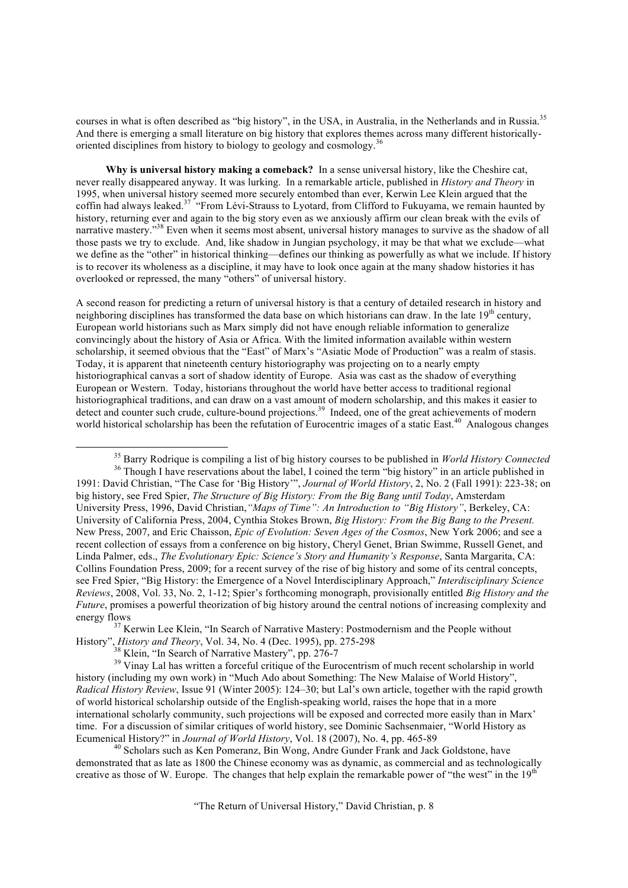courses in what is often described as "big history", in the USA, in Australia, in the Netherlands and in Russia.<sup>35</sup> And there is emerging a small literature on big history that explores themes across many different historicallyoriented disciplines from history to biology to geology and cosmology.36

**Why is universal history making a comeback?** In a sense universal history, like the Cheshire cat, never really disappeared anyway. It was lurking. In a remarkable article, published in *History and Theory* in 1995, when universal history seemed more securely entombed than ever, Kerwin Lee Klein argued that the coffin had always leaked.<sup>37</sup> "From Lévi-Strauss to Lyotard, from Clifford to Fukuyama, we remain haunted by history, returning ever and again to the big story even as we anxiously affirm our clean break with the evils of narrative mastery."<sup>38</sup> Even when it seems most absent, universal history manages to survive as the shadow of all those pasts we try to exclude. And, like shadow in Jungian psychology, it may be that what we exclude—what we define as the "other" in historical thinking—defines our thinking as powerfully as what we include. If history is to recover its wholeness as a discipline, it may have to look once again at the many shadow histories it has overlooked or repressed, the many "others" of universal history.

A second reason for predicting a return of universal history is that a century of detailed research in history and neighboring disciplines has transformed the data base on which historians can draw. In the late  $19<sup>th</sup>$  century, European world historians such as Marx simply did not have enough reliable information to generalize convincingly about the history of Asia or Africa. With the limited information available within western scholarship, it seemed obvious that the "East" of Marx's "Asiatic Mode of Production" was a realm of stasis. Today, it is apparent that nineteenth century historiography was projecting on to a nearly empty historiographical canvas a sort of shadow identity of Europe. Asia was cast as the shadow of everything European or Western. Today, historians throughout the world have better access to traditional regional historiographical traditions, and can draw on a vast amount of modern scholarship, and this makes it easier to detect and counter such crude, culture-bound projections.<sup>39</sup> Indeed, one of the great achievements of modern world historical scholarship has been the refutation of Eurocentric images of a static East.<sup>40</sup> Analogous changes

<sup>37</sup> Kerwin Lee Klein, "In Search of Narrative Mastery: Postmodernism and the People without History", *History and Theory*, Vol. 34, No. 4 (Dec. 1995), pp. 275-298

<sup>40</sup> Scholars such as Ken Pomeranz, Bin Wong, Andre Gunder Frank and Jack Goldstone, have demonstrated that as late as 1800 the Chinese economy was as dynamic, as commercial and as technologically creative as those of W. Europe. The changes that help explain the remarkable power of "the west" in the  $19<sup>th</sup>$ 

<sup>&</sup>lt;sup>35</sup> Barry Rodrique is compiling a list of big history courses to be published in *World History Connected* <sup>36</sup> Though I have reservations about the label, I coined the term "big history" in an article published in

<sup>1991:</sup> David Christian, "The Case for 'Big History'", *Journal of World History*, 2, No. 2 (Fall 1991): 223-38; on big history, see Fred Spier, *The Structure of Big History: From the Big Bang until Today*, Amsterdam University Press, 1996, David Christian,*"Maps of Time": An Introduction to "Big History"*, Berkeley, CA: University of California Press, 2004, Cynthia Stokes Brown, *Big History: From the Big Bang to the Present.*  New Press, 2007, and Eric Chaisson, *Epic of Evolution: Seven Ages of the Cosmos*, New York 2006; and see a recent collection of essays from a conference on big history, Cheryl Genet, Brian Swimme, Russell Genet, and Linda Palmer, eds., *The Evolutionary Epic: Science's Story and Humanity's Response*, Santa Margarita, CA: Collins Foundation Press, 2009; for a recent survey of the rise of big history and some of its central concepts, see Fred Spier, "Big History: the Emergence of a Novel Interdisciplinary Approach," *Interdisciplinary Science Reviews*, 2008, Vol. 33, No. 2, 1-12; Spier's forthcoming monograph, provisionally entitled *Big History and the Future*, promises a powerful theorization of big history around the central notions of increasing complexity and energy flows

<sup>&</sup>lt;sup>38</sup> Klein, "In Search of Narrative Mastery", pp.  $276-7$ <br><sup>39</sup> Vinay Lal has written a forceful critique of the Eurocentrism of much recent scholarship in world history (including my own work) in "Much Ado about Something: The New Malaise of World History", *Radical History Review*, Issue 91 (Winter 2005): 124–30; but Lal's own article, together with the rapid growth of world historical scholarship outside of the English-speaking world, raises the hope that in a more international scholarly community, such projections will be exposed and corrected more easily than in Marx' time. For a discussion of similar critiques of world history, see Dominic Sachsenmaier, "World History as Ecumenical History?" in Journal of World History, Vol. 18 (2007), No. 4, pp. 465-89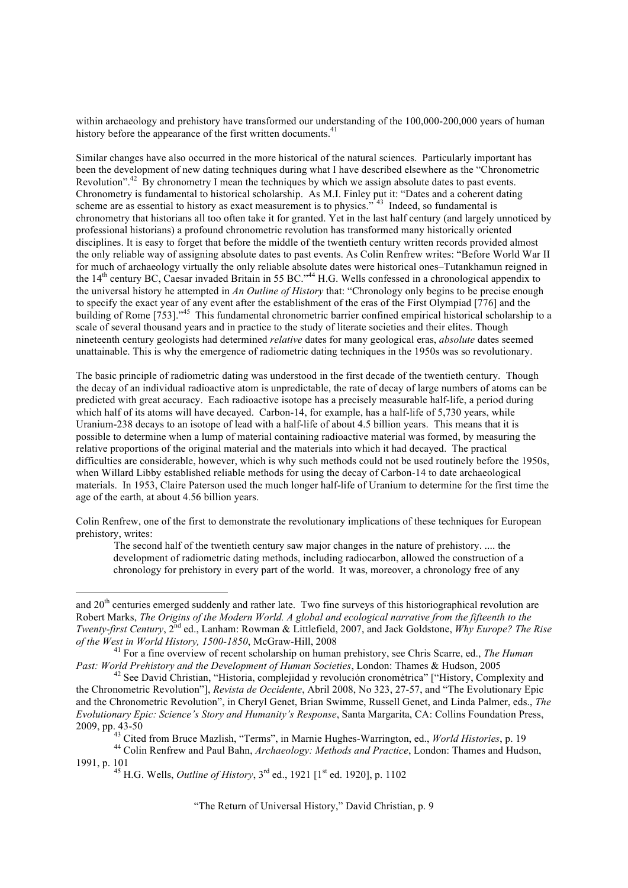within archaeology and prehistory have transformed our understanding of the 100,000-200,000 years of human history before the appearance of the first written documents.<sup>41</sup>

Similar changes have also occurred in the more historical of the natural sciences. Particularly important has been the development of new dating techniques during what I have described elsewhere as the "Chronometric Revolution".<sup>42</sup> By chronometry I mean the techniques by which we assign absolute dates to past events. Chronometry is fundamental to historical scholarship. As M.I. Finley put it: "Dates and a coherent dating scheme are as essential to history as exact measurement is to physics."<sup>43</sup> Indeed, so fundamental is chronometry that historians all too often take it for granted. Yet in the last half century (and largely unnoticed by professional historians) a profound chronometric revolution has transformed many historically oriented disciplines. It is easy to forget that before the middle of the twentieth century written records provided almost the only reliable way of assigning absolute dates to past events. As Colin Renfrew writes: "Before World War II for much of archaeology virtually the only reliable absolute dates were historical ones–Tutankhamun reigned in the 14<sup>th</sup> century BC, Caesar invaded Britain in 55 BC."<sup>44</sup> H.G. Wells confessed in a chronological appendix to the universal history he attempted in *An Outline of History* that: "Chronology only begins to be precise enough to specify the exact year of any event after the establishment of the eras of the First Olympiad [776] and the building of Rome [753]."<sup>45</sup> This fundamental chronometric barrier confined empirical historical scholarship to a scale of several thousand years and in practice to the study of literate societies and their elites. Though nineteenth century geologists had determined *relative* dates for many geological eras, *absolute* dates seemed unattainable. This is why the emergence of radiometric dating techniques in the 1950s was so revolutionary.

The basic principle of radiometric dating was understood in the first decade of the twentieth century. Though the decay of an individual radioactive atom is unpredictable, the rate of decay of large numbers of atoms can be predicted with great accuracy. Each radioactive isotope has a precisely measurable half-life, a period during which half of its atoms will have decayed. Carbon-14, for example, has a half-life of 5,730 years, while Uranium-238 decays to an isotope of lead with a half-life of about 4.5 billion years. This means that it is possible to determine when a lump of material containing radioactive material was formed, by measuring the relative proportions of the original material and the materials into which it had decayed. The practical difficulties are considerable, however, which is why such methods could not be used routinely before the 1950s, when Willard Libby established reliable methods for using the decay of Carbon-14 to date archaeological materials. In 1953, Claire Paterson used the much longer half-life of Uranium to determine for the first time the age of the earth, at about 4.56 billion years.

Colin Renfrew, one of the first to demonstrate the revolutionary implications of these techniques for European prehistory, writes:

The second half of the twentieth century saw major changes in the nature of prehistory. .... the development of radiometric dating methods, including radiocarbon, allowed the construction of a chronology for prehistory in every part of the world. It was, moreover, a chronology free of any

and  $20<sup>th</sup>$  centuries emerged suddenly and rather late. Two fine surveys of this historiographical revolution are Robert Marks, *The Origins of the Modern World. A global and ecological narrative from the fifteenth to the Twenty-first Century*, 2<sup>nd</sup> ed., Lanham: Rowman & Littlefield, 2007, and Jack Goldstone, *Why Europe? The Rise of the West in World History, 1500-1850*, McGraw-Hill, 2008

<sup>&</sup>lt;sup>41</sup> For a fine overview of recent scholarship on human prehistory, see Chris Scarre, ed., *The Human Past: World Prehistory and the Development of Human Societies*, London: Thames & Hudson, 2005

<sup>&</sup>lt;sup>42</sup> See David Christian. "Historia, complejidad y revolución cronométrica" ["History, Complexity and the Chronometric Revolution"], *Revista de Occidente*, Abril 2008, No 323, 27-57, and "The Evolutionary Epic and the Chronometric Revolution", in Cheryl Genet, Brian Swimme, Russell Genet, and Linda Palmer, eds., *The Evolutionary Epic: Science's Story and Humanity's Response*, Santa Margarita, CA: Collins Foundation Press, 2009, pp. 43-50 43 Cited from Bruce Mazlish, "Terms", in Marnie Hughes-Warrington, ed., *World Histories*, p. 19 44 Colin Renfrew and Paul Bahn, *Archaeology: Methods and Practice*, London: Thames and Hudson,

<sup>1991,</sup> p. 101 45 H.G. Wells, *Outline of History*, 3rd ed., 1921 [1st ed. 1920], p. 1102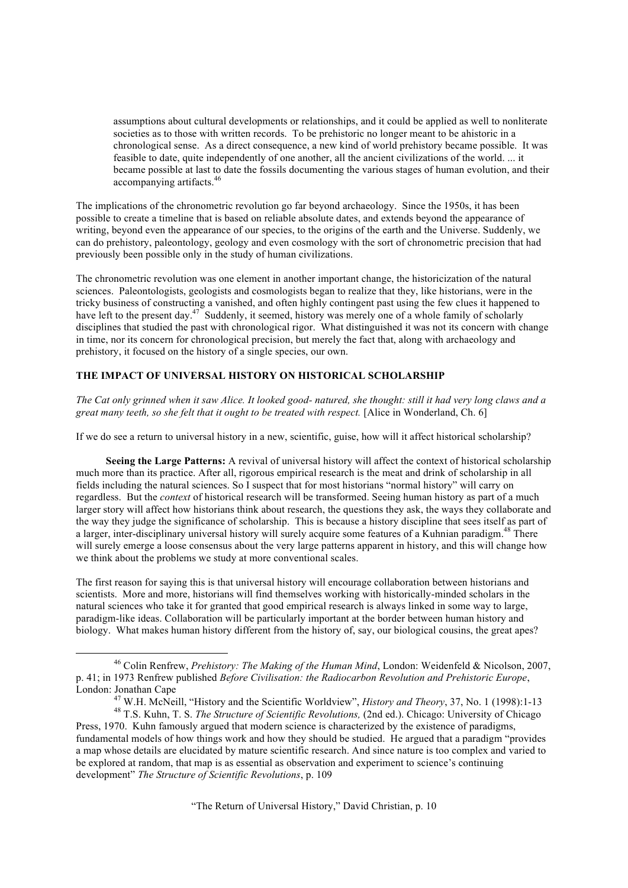assumptions about cultural developments or relationships, and it could be applied as well to nonliterate societies as to those with written records. To be prehistoric no longer meant to be ahistoric in a chronological sense. As a direct consequence, a new kind of world prehistory became possible. It was feasible to date, quite independently of one another, all the ancient civilizations of the world. ... it became possible at last to date the fossils documenting the various stages of human evolution, and their accompanying artifacts.<sup>46</sup>

The implications of the chronometric revolution go far beyond archaeology. Since the 1950s, it has been possible to create a timeline that is based on reliable absolute dates, and extends beyond the appearance of writing, beyond even the appearance of our species, to the origins of the earth and the Universe. Suddenly, we can do prehistory, paleontology, geology and even cosmology with the sort of chronometric precision that had previously been possible only in the study of human civilizations.

The chronometric revolution was one element in another important change, the historicization of the natural sciences. Paleontologists, geologists and cosmologists began to realize that they, like historians, were in the tricky business of constructing a vanished, and often highly contingent past using the few clues it happened to have left to the present day.<sup>47</sup> Suddenly, it seemed, history was merely one of a whole family of scholarly disciplines that studied the past with chronological rigor. What distinguished it was not its concern with change in time, nor its concern for chronological precision, but merely the fact that, along with archaeology and prehistory, it focused on the history of a single species, our own.

# **THE IMPACT OF UNIVERSAL HISTORY ON HISTORICAL SCHOLARSHIP**

*The Cat only grinned when it saw Alice. It looked good- natured, she thought: still it had very long claws and a great many teeth, so she felt that it ought to be treated with respect.* [Alice in Wonderland, Ch. 6]

If we do see a return to universal history in a new, scientific, guise, how will it affect historical scholarship?

**Seeing the Large Patterns:** A revival of universal history will affect the context of historical scholarship much more than its practice. After all, rigorous empirical research is the meat and drink of scholarship in all fields including the natural sciences. So I suspect that for most historians "normal history" will carry on regardless. But the *context* of historical research will be transformed. Seeing human history as part of a much larger story will affect how historians think about research, the questions they ask, the ways they collaborate and the way they judge the significance of scholarship. This is because a history discipline that sees itself as part of a larger, inter-disciplinary universal history will surely acquire some features of a Kuhnian paradigm.<sup>48</sup> There will surely emerge a loose consensus about the very large patterns apparent in history, and this will change how we think about the problems we study at more conventional scales.

The first reason for saying this is that universal history will encourage collaboration between historians and scientists. More and more, historians will find themselves working with historically-minded scholars in the natural sciences who take it for granted that good empirical research is always linked in some way to large, paradigm-like ideas. Collaboration will be particularly important at the border between human history and biology. What makes human history different from the history of, say, our biological cousins, the great apes?

 <sup>46</sup> Colin Renfrew, *Prehistory: The Making of the Human Mind*, London: Weidenfeld & Nicolson, 2007, p. 41; in 1973 Renfrew published *Before Civilisation: the Radiocarbon Revolution and Prehistoric Europe*, London: Jonathan Cape<br><sup>47</sup> W.H. McNeill, "History and the Scientific Worldview", *History and Theory*, 37, No. 1 (1998):1-13<br><sup>48</sup> T.S. Kuhn, T. S. *The Structure of Scientific Revolutions*, (2nd ed.). Chicago: University o

Press, 1970. Kuhn famously argued that modern science is characterized by the existence of paradigms, fundamental models of how things work and how they should be studied. He argued that a paradigm "provides a map whose details are elucidated by mature scientific research. And since nature is too complex and varied to be explored at random, that map is as essential as observation and experiment to science's continuing development" *The Structure of Scientific Revolutions*, p. 109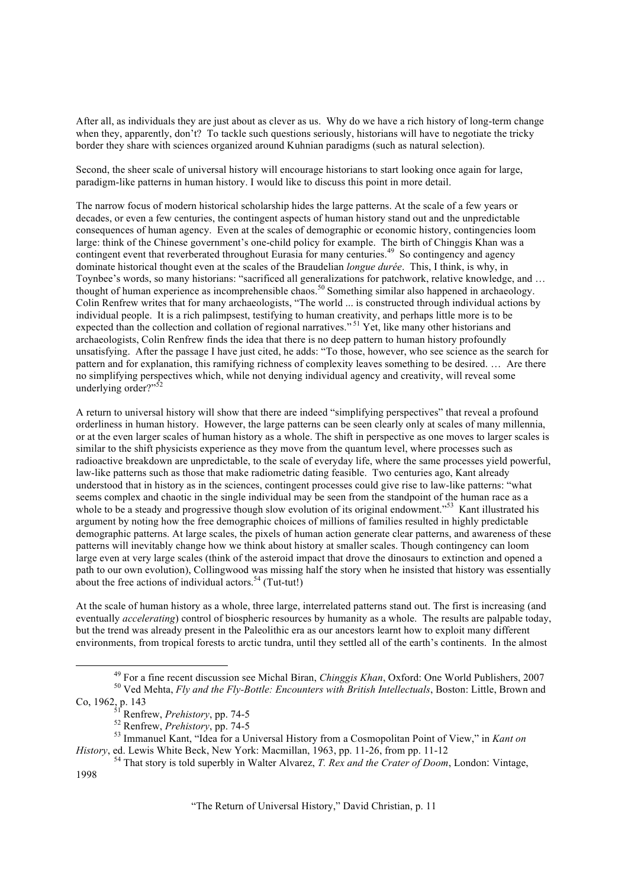After all, as individuals they are just about as clever as us. Why do we have a rich history of long-term change when they, apparently, don't? To tackle such questions seriously, historians will have to negotiate the tricky border they share with sciences organized around Kuhnian paradigms (such as natural selection).

Second, the sheer scale of universal history will encourage historians to start looking once again for large, paradigm-like patterns in human history. I would like to discuss this point in more detail.

The narrow focus of modern historical scholarship hides the large patterns. At the scale of a few years or decades, or even a few centuries, the contingent aspects of human history stand out and the unpredictable consequences of human agency. Even at the scales of demographic or economic history, contingencies loom large: think of the Chinese government's one-child policy for example. The birth of Chinggis Khan was a contingent event that reverberated throughout Eurasia for many centuries.<sup>49</sup> So contingency and agency dominate historical thought even at the scales of the Braudelian *longue durée*. This, I think, is why, in Toynbee's words, so many historians: "sacrificed all generalizations for patchwork, relative knowledge, and … thought of human experience as incomprehensible chaos.<sup>50</sup> Something similar also happened in archaeology. Colin Renfrew writes that for many archaeologists, "The world ... is constructed through individual actions by individual people. It is a rich palimpsest, testifying to human creativity, and perhaps little more is to be expected than the collection and collation of regional narratives."<sup>51</sup> Yet, like many other historians and archaeologists, Colin Renfrew finds the idea that there is no deep pattern to human history profoundly unsatisfying. After the passage I have just cited, he adds: "To those, however, who see science as the search for pattern and for explanation, this ramifying richness of complexity leaves something to be desired. … Are there no simplifying perspectives which, while not denying individual agency and creativity, will reveal some underlying order?"<sup>5</sup>

A return to universal history will show that there are indeed "simplifying perspectives" that reveal a profound orderliness in human history. However, the large patterns can be seen clearly only at scales of many millennia, or at the even larger scales of human history as a whole. The shift in perspective as one moves to larger scales is similar to the shift physicists experience as they move from the quantum level, where processes such as radioactive breakdown are unpredictable, to the scale of everyday life, where the same processes yield powerful, law-like patterns such as those that make radiometric dating feasible. Two centuries ago, Kant already understood that in history as in the sciences, contingent processes could give rise to law-like patterns: "what seems complex and chaotic in the single individual may be seen from the standpoint of the human race as a whole to be a steady and progressive though slow evolution of its original endowment."<sup>53</sup> Kant illustrated his argument by noting how the free demographic choices of millions of families resulted in highly predictable demographic patterns. At large scales, the pixels of human action generate clear patterns, and awareness of these patterns will inevitably change how we think about history at smaller scales. Though contingency can loom large even at very large scales (think of the asteroid impact that drove the dinosaurs to extinction and opened a path to our own evolution), Collingwood was missing half the story when he insisted that history was essentially about the free actions of individual actors.<sup>54</sup> (Tut-tut!)

At the scale of human history as a whole, three large, interrelated patterns stand out. The first is increasing (and eventually *accelerating*) control of biospheric resources by humanity as a whole. The results are palpable today, but the trend was already present in the Paleolithic era as our ancestors learnt how to exploit many different environments, from tropical forests to arctic tundra, until they settled all of the earth's continents. In the almost

<sup>&</sup>lt;sup>49</sup> For a fine recent discussion see Michal Biran, *Chinggis Khan*, Oxford: One World Publishers, 2007 <sup>50</sup> Ved Mehta, *Fly and the Fly-Bottle: Encounters with British Intellectuals*, Boston: Little, Brown and Co, 1962, p

Co, 1962, p. 143 <sup>51</sup> Renfrew, *Prehistory*, pp. 74-5 <sup>52</sup> Renfrew, *Prehistory*, pp. 74-5 53 Immanuel Kant, "Idea for a Universal History from a Cosmopolitan Point of View," in *Kant on History*, ed. Lewis White Beck, New York: Macmillan, 1963, pp. 11-26, from pp. 11-12

<sup>54</sup> That story is told superbly in Walter Alvarez, *T. Rex and the Crater of Doom*, London: Vintage, 1998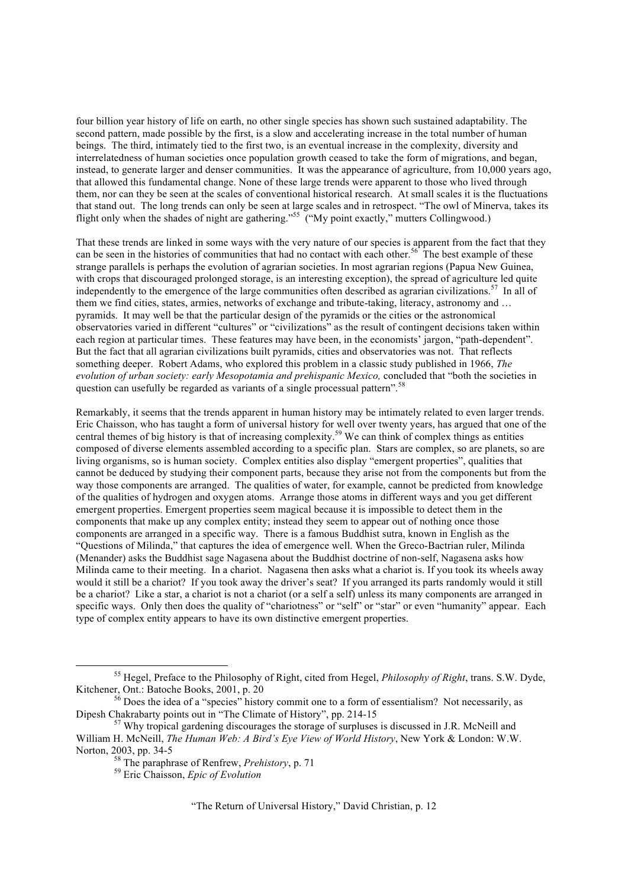four billion year history of life on earth, no other single species has shown such sustained adaptability. The second pattern, made possible by the first, is a slow and accelerating increase in the total number of human beings. The third, intimately tied to the first two, is an eventual increase in the complexity, diversity and interrelatedness of human societies once population growth ceased to take the form of migrations, and began, instead, to generate larger and denser communities. It was the appearance of agriculture, from 10,000 years ago, that allowed this fundamental change. None of these large trends were apparent to those who lived through them, nor can they be seen at the scales of conventional historical research. At small scales it is the fluctuations that stand out. The long trends can only be seen at large scales and in retrospect. "The owl of Minerva, takes its flight only when the shades of night are gathering.<sup>555</sup> ("My point exactly," mutters Collingwood.)

That these trends are linked in some ways with the very nature of our species is apparent from the fact that they can be seen in the histories of communities that had no contact with each other.<sup>56</sup> The best example of these strange parallels is perhaps the evolution of agrarian societies. In most agrarian regions (Papua New Guinea, with crops that discouraged prolonged storage, is an interesting exception), the spread of agriculture led quite independently to the emergence of the large communities often described as agrarian civilizations.<sup>57</sup> In all of them we find cities, states, armies, networks of exchange and tribute-taking, literacy, astronomy and … pyramids. It may well be that the particular design of the pyramids or the cities or the astronomical observatories varied in different "cultures" or "civilizations" as the result of contingent decisions taken within each region at particular times. These features may have been, in the economists' jargon, "path-dependent". But the fact that all agrarian civilizations built pyramids, cities and observatories was not. That reflects something deeper. Robert Adams, who explored this problem in a classic study published in 1966, *The evolution of urban society: early Mesopotamia and prehispanic Mexico,* concluded that "both the societies in question can usefully be regarded as variants of a single processual pattern".<sup>58</sup>

Remarkably, it seems that the trends apparent in human history may be intimately related to even larger trends. Eric Chaisson, who has taught a form of universal history for well over twenty years, has argued that one of the central themes of big history is that of increasing complexity.<sup>59</sup> We can think of complex things as entities composed of diverse elements assembled according to a specific plan. Stars are complex, so are planets, so are living organisms, so is human society. Complex entities also display "emergent properties", qualities that cannot be deduced by studying their component parts, because they arise not from the components but from the way those components are arranged. The qualities of water, for example, cannot be predicted from knowledge of the qualities of hydrogen and oxygen atoms. Arrange those atoms in different ways and you get different emergent properties. Emergent properties seem magical because it is impossible to detect them in the components that make up any complex entity; instead they seem to appear out of nothing once those components are arranged in a specific way. There is a famous Buddhist sutra, known in English as the "Questions of Milinda," that captures the idea of emergence well. When the Greco-Bactrian ruler, Milinda (Menander) asks the Buddhist sage Nagasena about the Buddhist doctrine of non-self, Nagasena asks how Milinda came to their meeting. In a chariot. Nagasena then asks what a chariot is. If you took its wheels away would it still be a chariot? If you took away the driver's seat? If you arranged its parts randomly would it still be a chariot? Like a star, a chariot is not a chariot (or a self a self) unless its many components are arranged in specific ways. Only then does the quality of "chariotness" or "self" or "star" or even "humanity" appear. Each type of complex entity appears to have its own distinctive emergent properties.

 <sup>55</sup> Hegel, Preface to the Philosophy of Right, cited from Hegel, *Philosophy of Right*, trans. S.W. Dyde,

<sup>&</sup>lt;sup>56</sup> Does the idea of a "species" history commit one to a form of essentialism? Not necessarily, as Dipesh Chakrabarty points out in "The Climate of History", pp. 214-15

 $<sup>57</sup>$  Why tropical gardening discourages the storage of surpluses is discussed in J.R. McNeill and</sup> William H. McNeill, *The Human Web: A Bird's Eye View of World History*, New York & London: W.W.

<sup>&</sup>lt;sup>58</sup> The paraphrase of Renfrew, *Prehistory*, p. 71<sup>59</sup> Eric Chaisson, *Epic of Evolution*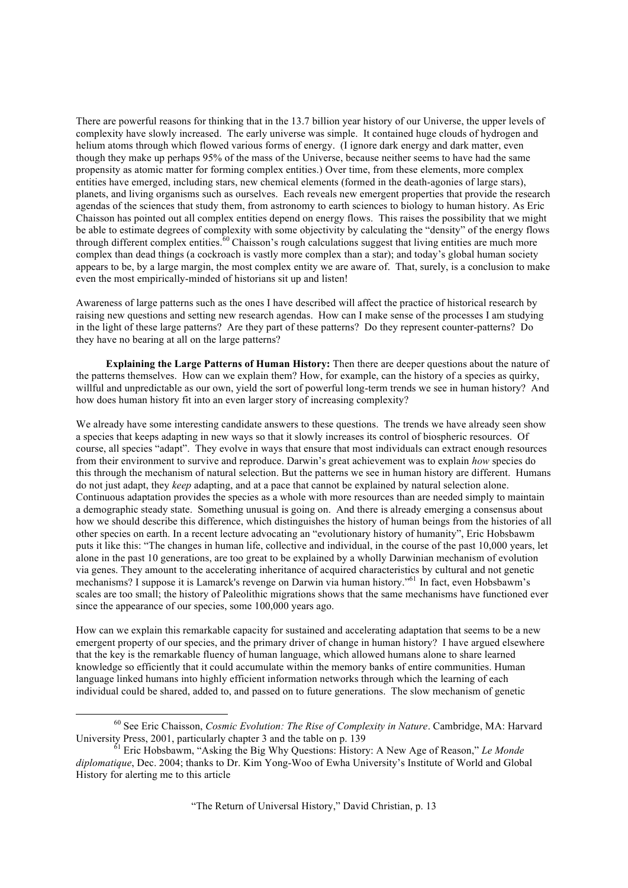There are powerful reasons for thinking that in the 13.7 billion year history of our Universe, the upper levels of complexity have slowly increased. The early universe was simple. It contained huge clouds of hydrogen and helium atoms through which flowed various forms of energy. (I ignore dark energy and dark matter, even though they make up perhaps 95% of the mass of the Universe, because neither seems to have had the same propensity as atomic matter for forming complex entities.) Over time, from these elements, more complex entities have emerged, including stars, new chemical elements (formed in the death-agonies of large stars), planets, and living organisms such as ourselves. Each reveals new emergent properties that provide the research agendas of the sciences that study them, from astronomy to earth sciences to biology to human history. As Eric Chaisson has pointed out all complex entities depend on energy flows. This raises the possibility that we might be able to estimate degrees of complexity with some objectivity by calculating the "density" of the energy flows through different complex entities.<sup>60</sup> Chaisson's rough calculations suggest that living entities are much more complex than dead things (a cockroach is vastly more complex than a star); and today's global human society appears to be, by a large margin, the most complex entity we are aware of. That, surely, is a conclusion to make even the most empirically-minded of historians sit up and listen!

Awareness of large patterns such as the ones I have described will affect the practice of historical research by raising new questions and setting new research agendas. How can I make sense of the processes I am studying in the light of these large patterns? Are they part of these patterns? Do they represent counter-patterns? Do they have no bearing at all on the large patterns?

**Explaining the Large Patterns of Human History:** Then there are deeper questions about the nature of the patterns themselves. How can we explain them? How, for example, can the history of a species as quirky, willful and unpredictable as our own, yield the sort of powerful long-term trends we see in human history? And how does human history fit into an even larger story of increasing complexity?

We already have some interesting candidate answers to these questions. The trends we have already seen show a species that keeps adapting in new ways so that it slowly increases its control of biospheric resources. Of course, all species "adapt". They evolve in ways that ensure that most individuals can extract enough resources from their environment to survive and reproduce. Darwin's great achievement was to explain *how* species do this through the mechanism of natural selection. But the patterns we see in human history are different. Humans do not just adapt, they *keep* adapting, and at a pace that cannot be explained by natural selection alone. Continuous adaptation provides the species as a whole with more resources than are needed simply to maintain a demographic steady state. Something unusual is going on. And there is already emerging a consensus about how we should describe this difference, which distinguishes the history of human beings from the histories of all other species on earth. In a recent lecture advocating an "evolutionary history of humanity", Eric Hobsbawm puts it like this: "The changes in human life, collective and individual, in the course of the past 10,000 years, let alone in the past 10 generations, are too great to be explained by a wholly Darwinian mechanism of evolution via genes. They amount to the accelerating inheritance of acquired characteristics by cultural and not genetic mechanisms? I suppose it is Lamarck's revenge on Darwin via human history."<sup>61</sup> In fact, even Hobsbawm's scales are too small; the history of Paleolithic migrations shows that the same mechanisms have functioned ever since the appearance of our species, some 100,000 years ago.

How can we explain this remarkable capacity for sustained and accelerating adaptation that seems to be a new emergent property of our species, and the primary driver of change in human history? I have argued elsewhere that the key is the remarkable fluency of human language, which allowed humans alone to share learned knowledge so efficiently that it could accumulate within the memory banks of entire communities. Human language linked humans into highly efficient information networks through which the learning of each individual could be shared, added to, and passed on to future generations. The slow mechanism of genetic

<sup>&</sup>lt;sup>60</sup> See Eric Chaisson, *Cosmic Evolution: The Rise of Complexity in Nature*. Cambridge, MA: Harvard University Press, 2001, particularly chapter 3 and the table on p. 139

<sup>&</sup>lt;sup>61</sup> Eric Hobsbawm, "Asking the Big Why Questions: History: A New Age of Reason," *Le Monde diplomatique*, Dec. 2004; thanks to Dr. Kim Yong-Woo of Ewha University's Institute of World and Global History for alerting me to this article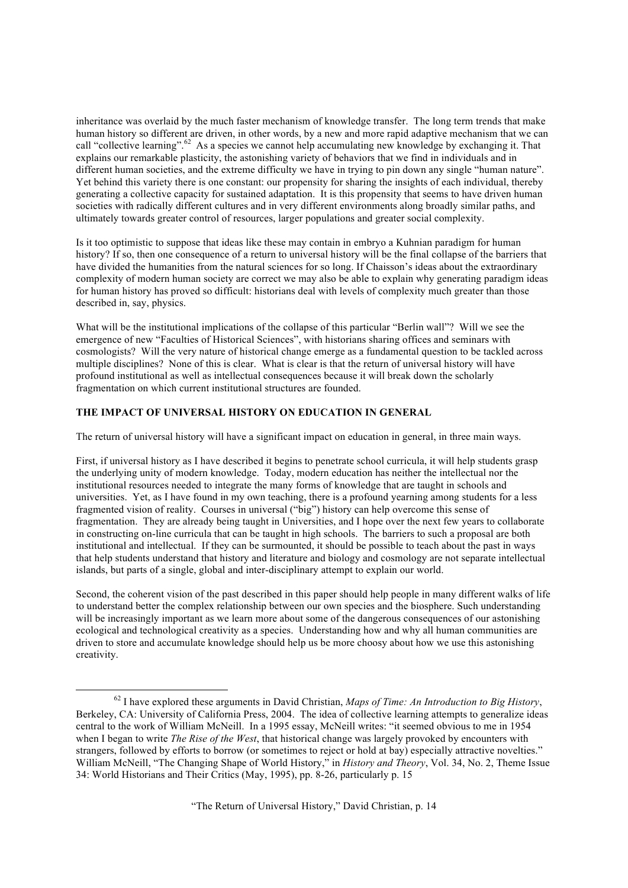inheritance was overlaid by the much faster mechanism of knowledge transfer. The long term trends that make human history so different are driven, in other words, by a new and more rapid adaptive mechanism that we can call "collective learning".<sup>62</sup> As a species we cannot help accumulating new knowledge by exchanging it. That explains our remarkable plasticity, the astonishing variety of behaviors that we find in individuals and in different human societies, and the extreme difficulty we have in trying to pin down any single "human nature". Yet behind this variety there is one constant: our propensity for sharing the insights of each individual, thereby generating a collective capacity for sustained adaptation. It is this propensity that seems to have driven human societies with radically different cultures and in very different environments along broadly similar paths, and ultimately towards greater control of resources, larger populations and greater social complexity.

Is it too optimistic to suppose that ideas like these may contain in embryo a Kuhnian paradigm for human history? If so, then one consequence of a return to universal history will be the final collapse of the barriers that have divided the humanities from the natural sciences for so long. If Chaisson's ideas about the extraordinary complexity of modern human society are correct we may also be able to explain why generating paradigm ideas for human history has proved so difficult: historians deal with levels of complexity much greater than those described in, say, physics.

What will be the institutional implications of the collapse of this particular "Berlin wall"? Will we see the emergence of new "Faculties of Historical Sciences", with historians sharing offices and seminars with cosmologists? Will the very nature of historical change emerge as a fundamental question to be tackled across multiple disciplines? None of this is clear. What is clear is that the return of universal history will have profound institutional as well as intellectual consequences because it will break down the scholarly fragmentation on which current institutional structures are founded.

# **THE IMPACT OF UNIVERSAL HISTORY ON EDUCATION IN GENERAL**

The return of universal history will have a significant impact on education in general, in three main ways.

First, if universal history as I have described it begins to penetrate school curricula, it will help students grasp the underlying unity of modern knowledge. Today, modern education has neither the intellectual nor the institutional resources needed to integrate the many forms of knowledge that are taught in schools and universities. Yet, as I have found in my own teaching, there is a profound yearning among students for a less fragmented vision of reality. Courses in universal ("big") history can help overcome this sense of fragmentation. They are already being taught in Universities, and I hope over the next few years to collaborate in constructing on-line curricula that can be taught in high schools. The barriers to such a proposal are both institutional and intellectual. If they can be surmounted, it should be possible to teach about the past in ways that help students understand that history and literature and biology and cosmology are not separate intellectual islands, but parts of a single, global and inter-disciplinary attempt to explain our world.

Second, the coherent vision of the past described in this paper should help people in many different walks of life to understand better the complex relationship between our own species and the biosphere. Such understanding will be increasingly important as we learn more about some of the dangerous consequences of our astonishing ecological and technological creativity as a species. Understanding how and why all human communities are driven to store and accumulate knowledge should help us be more choosy about how we use this astonishing creativity.

 <sup>62</sup> I have explored these arguments in David Christian, *Maps of Time: An Introduction to Big History*, Berkeley, CA: University of California Press, 2004. The idea of collective learning attempts to generalize ideas central to the work of William McNeill. In a 1995 essay, McNeill writes: "it seemed obvious to me in 1954 when I began to write *The Rise of the West*, that historical change was largely provoked by encounters with strangers, followed by efforts to borrow (or sometimes to reject or hold at bay) especially attractive novelties." William McNeill, "The Changing Shape of World History," in *History and Theory*, Vol. 34, No. 2, Theme Issue 34: World Historians and Their Critics (May, 1995), pp. 8-26, particularly p. 15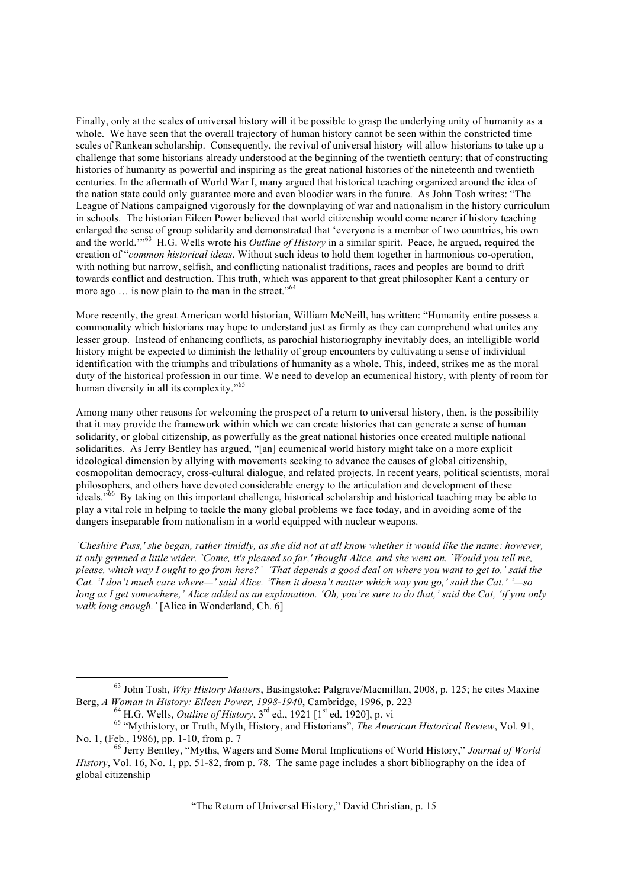Finally, only at the scales of universal history will it be possible to grasp the underlying unity of humanity as a whole. We have seen that the overall trajectory of human history cannot be seen within the constricted time scales of Rankean scholarship. Consequently, the revival of universal history will allow historians to take up a challenge that some historians already understood at the beginning of the twentieth century: that of constructing histories of humanity as powerful and inspiring as the great national histories of the nineteenth and twentieth centuries. In the aftermath of World War I, many argued that historical teaching organized around the idea of the nation state could only guarantee more and even bloodier wars in the future. As John Tosh writes: "The League of Nations campaigned vigorously for the downplaying of war and nationalism in the history curriculum in schools. The historian Eileen Power believed that world citizenship would come nearer if history teaching enlarged the sense of group solidarity and demonstrated that 'everyone is a member of two countries, his own and the world.'"63 H.G. Wells wrote his *Outline of History* in a similar spirit. Peace, he argued, required the creation of "*common historical ideas*. Without such ideas to hold them together in harmonious co-operation, with nothing but narrow, selfish, and conflicting nationalist traditions, races and peoples are bound to drift towards conflict and destruction. This truth, which was apparent to that great philosopher Kant a century or more ago ... is now plain to the man in the street."<sup>64</sup>

More recently, the great American world historian, William McNeill, has written: "Humanity entire possess a commonality which historians may hope to understand just as firmly as they can comprehend what unites any lesser group. Instead of enhancing conflicts, as parochial historiography inevitably does, an intelligible world history might be expected to diminish the lethality of group encounters by cultivating a sense of individual identification with the triumphs and tribulations of humanity as a whole. This, indeed, strikes me as the moral duty of the historical profession in our time. We need to develop an ecumenical history, with plenty of room for human diversity in all its complexity."<sup>65</sup>

Among many other reasons for welcoming the prospect of a return to universal history, then, is the possibility that it may provide the framework within which we can create histories that can generate a sense of human solidarity, or global citizenship, as powerfully as the great national histories once created multiple national solidarities. As Jerry Bentley has argued, "[an] ecumenical world history might take on a more explicit ideological dimension by allying with movements seeking to advance the causes of global citizenship, cosmopolitan democracy, cross-cultural dialogue, and related projects. In recent years, political scientists, moral philosophers, and others have devoted considerable energy to the articulation and development of these ideals."66 By taking on this important challenge, historical scholarship and historical teaching may be able to play a vital role in helping to tackle the many global problems we face today, and in avoiding some of the dangers inseparable from nationalism in a world equipped with nuclear weapons.

*`Cheshire Puss,' she began, rather timidly, as she did not at all know whether it would like the name: however, it only grinned a little wider. `Come, it's pleased so far,' thought Alice, and she went on. `Would you tell me, please, which way I ought to go from here?' 'That depends a good deal on where you want to get to,' said the Cat. 'I don't much care where—' said Alice. 'Then it doesn't matter which way you go,' said the Cat.' '—so long as I get somewhere,' Alice added as an explanation. 'Oh, you're sure to do that,' said the Cat, 'if you only walk long enough.'* [Alice in Wonderland, Ch. 6]

<sup>&</sup>lt;sup>63</sup> John Tosh, *Why History Matters*, Basingstoke: Palgrave/Macmillan, 2008, p. 125; he cites Maxine Berg, *A Woman in History: Eileen Power*, 1998-1940, Cambridge, 1996, p. 223

<sup>&</sup>lt;sup>64</sup> H.G. Wells, *Outline of History*,  $3^{rd}$  ed., 1921 [1<sup>st</sup> ed. 1920], p. vi<br><sup>65</sup> "Mythistory, or Truth, Myth, History, and Historians", *The American Historical Review*, Vol. 91,<br>No. 1, (Feb., 1986), pp. 1-10, from p.

<sup>&</sup>lt;sup>66</sup> Jerry Bentley, "Myths, Wagers and Some Moral Implications of World History," *Journal of World History*, Vol. 16, No. 1, pp. 51-82, from p. 78. The same page includes a short bibliography on the idea of global citizenship